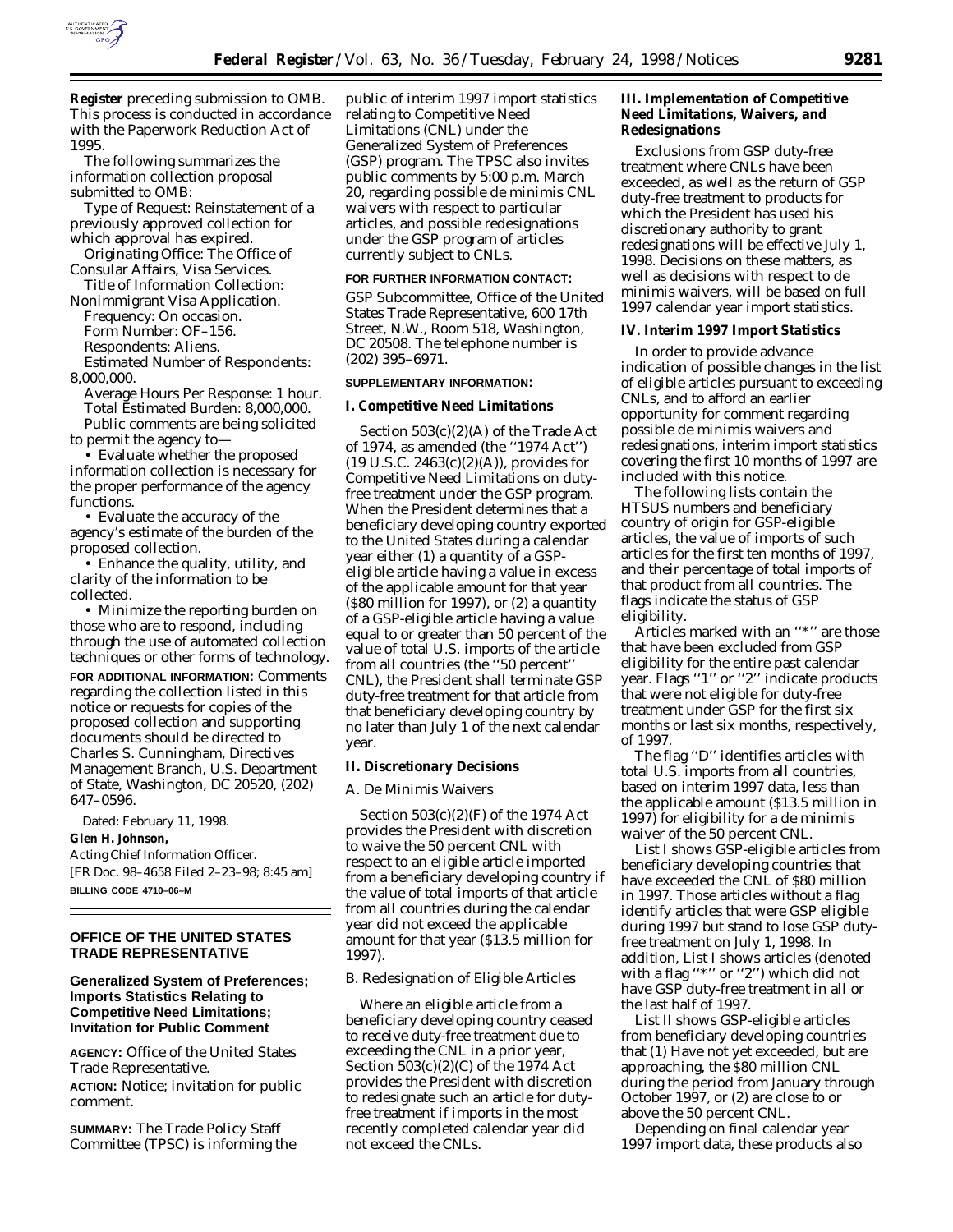

**Register** preceding submission to OMB. This process is conducted in accordance with the Paperwork Reduction Act of 1995.

The following summarizes the information collection proposal submitted to OMB:

*Type of Request:* Reinstatement of a previously approved collection for which approval has expired.

*Originating Office:* The Office of Consular Affairs, Visa Services.

*Title of Information Collection:* Nonimmigrant Visa Application.

*Frequency:* On occasion.

*Form Number:* OF–156.

*Respondents:* Aliens.

*Estimated Number of Respondents:* 8,000,000.

*Average Hours Per Response:* 1 hour. *Total Estimated Burden:* 8,000,000. Public comments are being solicited to permit the agency to—

• Evaluate whether the proposed information collection is necessary for the proper performance of the agency functions.

• Evaluate the accuracy of the agency's estimate of the burden of the proposed collection.

• Enhance the quality, utility, and clarity of the information to be collected.

• Minimize the reporting burden on those who are to respond, including through the use of automated collection techniques or other forms of technology. **FOR ADDITIONAL INFORMATION:** Comments regarding the collection listed in this notice or requests for copies of the proposed collection and supporting documents should be directed to Charles S. Cunningham, Directives Management Branch, U.S. Department of State, Washington, DC 20520, (202) 647–0596.

Dated: February 11, 1998.

# **Glen H. Johnson,**

*Acting Chief Information Officer.* [FR Doc. 98–4658 Filed 2–23–98; 8:45 am] **BILLING CODE 4710–06–M**

## **OFFICE OF THE UNITED STATES TRADE REPRESENTATIVE**

# **Generalized System of Preferences; Imports Statistics Relating to Competitive Need Limitations; Invitation for Public Comment**

**AGENCY:** Office of the United States Trade Representative.

**ACTION:** Notice; invitation for public comment.

**SUMMARY:** The Trade Policy Staff Committee (TPSC) is informing the

public of interim 1997 import statistics relating to Competitive Need Limitations (CNL) under the Generalized System of Preferences (GSP) program. The TPSC also invites public comments by 5:00 p.m. March 20, regarding possible de minimis CNL waivers with respect to particular articles, and possible redesignations under the GSP program of articles currently subject to CNLs.

#### **FOR FURTHER INFORMATION CONTACT:**

GSP Subcommittee, Office of the United States Trade Representative, 600 17th Street, N.W., Room 518, Washington, DC 20508. The telephone number is (202) 395–6971.

# **SUPPLEMENTARY INFORMATION:**

## **I. Competitive Need Limitations**

Section 503(c)(2)(A) of the Trade Act of 1974, as amended (the ''1974 Act'')  $(19 \text{ U.S.C. } 2463(c)(2)(A))$ , provides for Competitive Need Limitations on dutyfree treatment under the GSP program. When the President determines that a beneficiary developing country exported to the United States during a calendar year either (1) a quantity of a GSPeligible article having a value in excess of the applicable amount for that year (\$80 million for 1997), or (2) a quantity of a GSP-eligible article having a value equal to or greater than 50 percent of the value of total U.S. imports of the article from all countries (the ''50 percent'' CNL), the President shall terminate GSP duty-free treatment for that article from that beneficiary developing country by no later than July 1 of the next calendar year.

### **II. Discretionary Decisions**

#### *A. De Minimis Waivers*

Section 503(c)(2)(F) of the 1974 Act provides the President with discretion to waive the 50 percent CNL with respect to an eligible article imported from a beneficiary developing country if the value of total imports of that article from all countries during the calendar year did not exceed the applicable amount for that year (\$13.5 million for 1997).

#### *B. Redesignation of Eligible Articles*

Where an eligible article from a beneficiary developing country ceased to receive duty-free treatment due to exceeding the CNL in a prior year, Section 503(c)(2)(C) of the 1974 Act provides the President with discretion to redesignate such an article for dutyfree treatment if imports in the most recently completed calendar year did not exceed the CNLs.

## **III. Implementation of Competitive Need Limitations, Waivers, and Redesignations**

Exclusions from GSP duty-free treatment where CNLs have been exceeded, as well as the return of GSP duty-free treatment to products for which the President has used his discretionary authority to grant redesignations will be effective July 1, 1998. Decisions on these matters, as well as decisions with respect to de minimis waivers, will be based on full 1997 calendar year import statistics.

### **IV. Interim 1997 Import Statistics**

In order to provide advance indication of possible changes in the list of eligible articles pursuant to exceeding CNLs, and to afford an earlier opportunity for comment regarding possible de minimis waivers and redesignations, interim import statistics covering the first 10 months of 1997 are included with this notice.

The following lists contain the HTSUS numbers and beneficiary country of origin for GSP-eligible articles, the value of imports of such articles for the first ten months of 1997, and their percentage of total imports of that product from all countries. The flags indicate the status of GSP eligibility.

Articles marked with an ''\*'' are those that have been excluded from GSP eligibility for the entire past calendar year. Flags ''1'' or ''2'' indicate products that were not eligible for duty-free treatment under GSP for the first six months or last six months, respectively, of 1997.

The flag ''D'' identifies articles with total U.S. imports from all countries, based on interim 1997 data, less than the applicable amount (\$13.5 million in 1997) for eligibility for a de minimis waiver of the 50 percent CNL.

List I shows GSP-eligible articles from beneficiary developing countries that have exceeded the CNL of \$80 million in 1997. Those articles without a flag identify articles that were GSP eligible during 1997 but stand to lose GSP dutyfree treatment on July 1, 1998. In addition, List I shows articles (denoted with a flag "\*" or "2") which did not have GSP duty-free treatment in all or the last half of 1997.

List II shows GSP-eligible articles from beneficiary developing countries that (1) Have not yet exceeded, but are approaching, the \$80 million CNL during the period from January through October 1997, or (2) are close to or above the 50 percent CNL.

Depending on final calendar year 1997 import data, these products also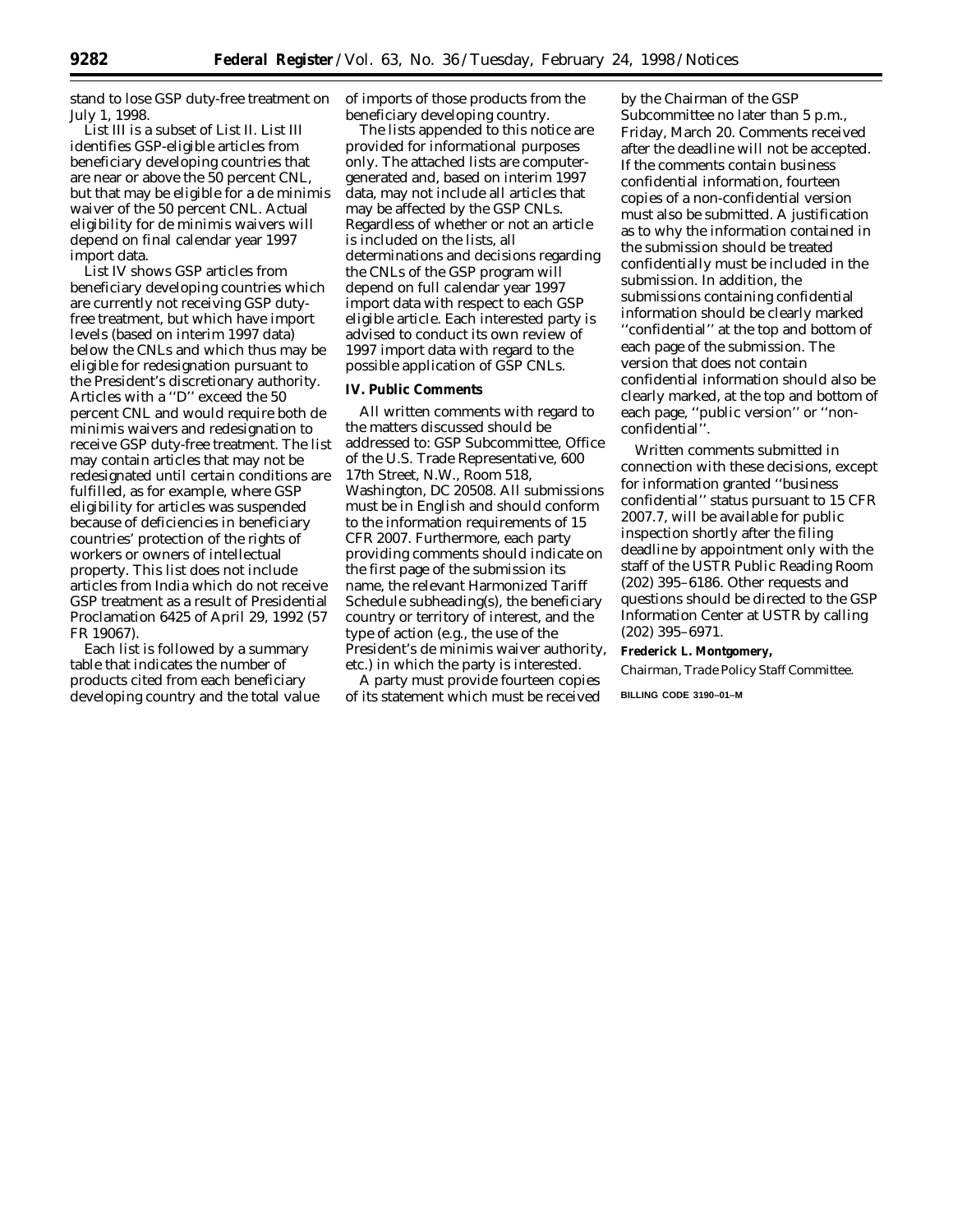stand to lose GSP duty-free treatment on July 1, 1998.

List III is a subset of List II. List III identifies GSP-eligible articles from beneficiary developing countries that are near or above the 50 percent CNL, but that may be eligible for a de minimis waiver of the 50 percent CNL. Actual eligibility for de minimis waivers will depend on final calendar year 1997 import data.

List IV shows GSP articles from beneficiary developing countries which are currently not receiving GSP dutyfree treatment, but which have import levels (based on interim 1997 data) below the CNLs and which thus may be eligible for redesignation pursuant to the President's discretionary authority. Articles with a ''D'' exceed the 50 percent CNL and would require both de minimis waivers and redesignation to receive GSP duty-free treatment. The list may contain articles that may not be redesignated until certain conditions are fulfilled, as for example, where GSP eligibility for articles was suspended because of deficiencies in beneficiary countries' protection of the rights of workers or owners of intellectual property. This list does not include articles from India which do not receive GSP treatment as a result of Presidential Proclamation 6425 of April 29, 1992 (57 FR 19067).

Each list is followed by a summary table that indicates the number of products cited from each beneficiary developing country and the total value of imports of those products from the beneficiary developing country.

The lists appended to this notice are provided for informational purposes only. The attached lists are computergenerated and, based on interim 1997 data, may not include all articles that may be affected by the GSP CNLs. Regardless of whether or not an article is included on the lists, all determinations and decisions regarding the CNLs of the GSP program will depend on full calendar year 1997 import data with respect to each GSP eligible article. Each interested party is advised to conduct its own review of 1997 import data with regard to the possible application of GSP CNLs.

## **IV. Public Comments**

All written comments with regard to the matters discussed should be addressed to: GSP Subcommittee, Office of the U.S. Trade Representative, 600 17th Street, N.W., Room 518, Washington, DC 20508. All submissions must be in English and should conform to the information requirements of 15 CFR 2007. Furthermore, each party providing comments should indicate on the first page of the submission its name, the relevant Harmonized Tariff Schedule subheading(s), the beneficiary country or territory of interest, and the type of action (e.g., the use of the President's *de minimis* waiver authority, etc.) in which the party is interested.

A party must provide fourteen copies of its statement which must be received by the Chairman of the GSP Subcommittee no later than 5 p.m., Friday, March 20. Comments received after the deadline will not be accepted. If the comments contain business confidential information, fourteen copies of a non-confidential version must also be submitted. A justification as to why the information contained in the submission should be treated confidentially must be included in the submission. In addition, the submissions containing confidential information should be clearly marked ''confidential'' at the top and bottom of each page of the submission. The version that does not contain confidential information should also be clearly marked, at the top and bottom of each page, ''public version'' or ''nonconfidential''.

Written comments submitted in connection with these decisions, except for information granted ''business confidential'' status pursuant to 15 CFR 2007.7, will be available for public inspection shortly after the filing deadline by appointment only with the staff of the USTR Public Reading Room (202) 395–6186. Other requests and questions should be directed to the GSP Information Center at USTR by calling (202) 395–6971.

### **Frederick L. Montgomery,**

*Chairman, Trade Policy Staff Committee.*

**BILLING CODE 3190–01–M**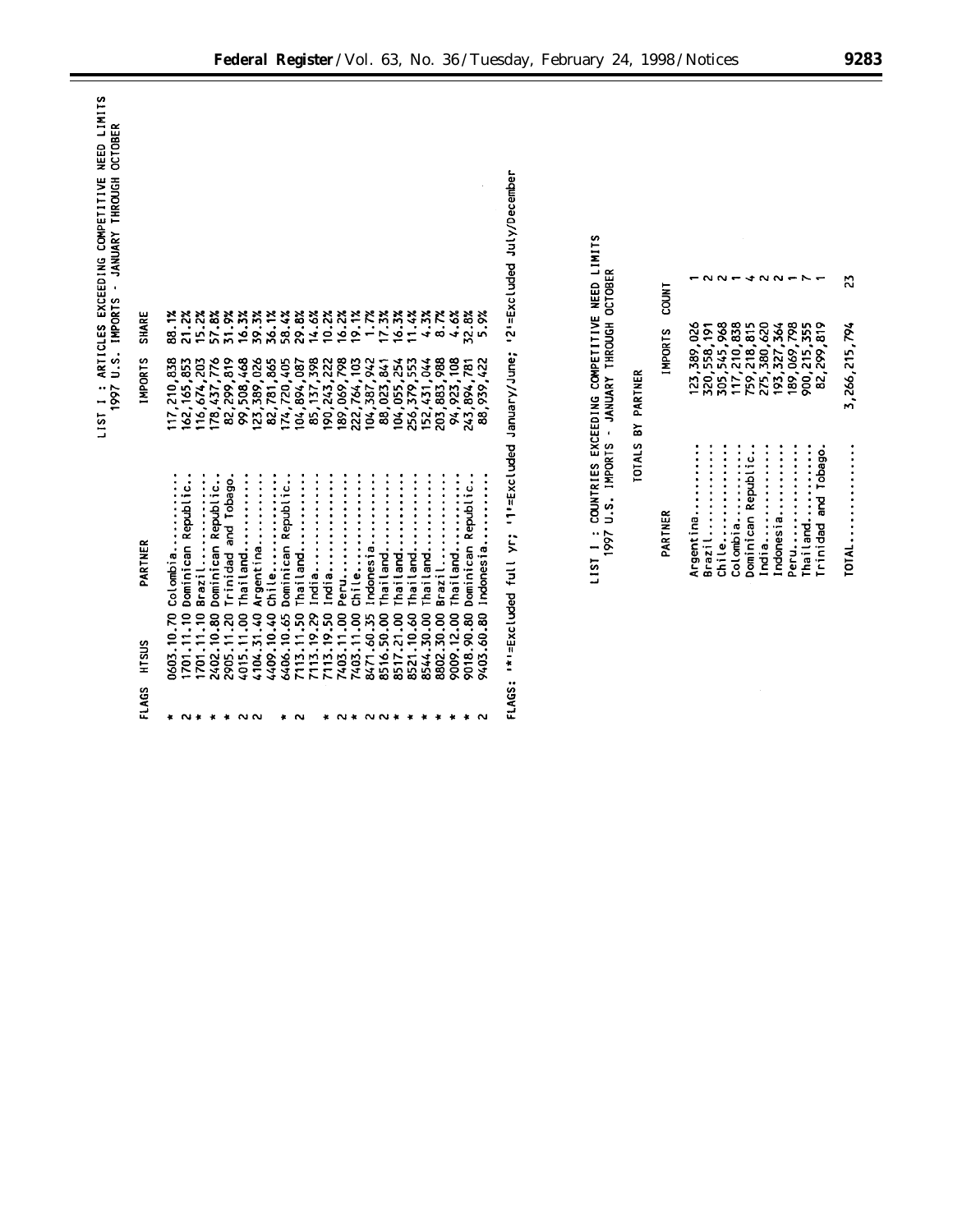| NEED LIMITS                                               |                |                                                                                                                                                                                                                                                                                                                                                                                                                                                                           |                                                                                                                                                                  |                   |                |                                                                                                                                                                                                                                                                                                                                                                                                                                                                                                                                                |
|-----------------------------------------------------------|----------------|---------------------------------------------------------------------------------------------------------------------------------------------------------------------------------------------------------------------------------------------------------------------------------------------------------------------------------------------------------------------------------------------------------------------------------------------------------------------------|------------------------------------------------------------------------------------------------------------------------------------------------------------------|-------------------|----------------|------------------------------------------------------------------------------------------------------------------------------------------------------------------------------------------------------------------------------------------------------------------------------------------------------------------------------------------------------------------------------------------------------------------------------------------------------------------------------------------------------------------------------------------------|
| JANUARY THROUGH OCTOBER<br>ARTICLES EXCEEDING COMPETITIVE |                |                                                                                                                                                                                                                                                                                                                                                                                                                                                                           | '2'=Excluded July/December                                                                                                                                       |                   |                |                                                                                                                                                                                                                                                                                                                                                                                                                                                                                                                                                |
| $\ddot{\phantom{0}}$                                      |                | 1.7%<br>4.3%<br>8.7%<br>4.6%<br>5.9%                                                                                                                                                                                                                                                                                                                                                                                                                                      |                                                                                                                                                                  |                   | <b>COUNT</b>   | $0.04400 + 0.04$<br>ដ                                                                                                                                                                                                                                                                                                                                                                                                                                                                                                                          |
|                                                           | SHARE          | 17.3%<br>16.3%<br>11.4%<br>15.2%<br>31.9%<br>39.3%<br>58.4%<br>29.8%<br>14.6%<br>10.2%<br>16.2%<br>19.1%<br>32.8%<br>88.1%<br>21.2%<br>57.8%<br>16.3%<br>36.1%                                                                                                                                                                                                                                                                                                            |                                                                                                                                                                  |                   | <b>IMPORTS</b> | 82,299,819                                                                                                                                                                                                                                                                                                                                                                                                                                                                                                                                     |
| I: ARTICLES EXLE<br>1997 U.S. IMPORTS<br>1 1811           | <b>IMPORTS</b> | 178,437,776<br>82, 299, 819<br>99, 508, 468<br>123, 389, 026<br>82, 781, 865<br>85, 137, 398<br>190,243,222<br>189,069,798<br>222,764,103<br>203,883,988<br>94,923,108<br>117,210,838<br>162, 165, 853<br>116,674,203<br>174,720,405<br>104,387,942<br>88,023,841<br>104,055,254<br>256, 379, 553<br>152,431,044<br>,422<br>104,894,087<br>243, 894, 781<br>939<br>88                                                                                                     |                                                                                                                                                                  | TOTALS BY PARTNER |                | 305, 545, 968<br>275,380,620<br>193,327,364<br>123, 389, 026<br>117,210,838<br>759,218,815<br>189,069,798<br>900,215,355<br>3,266,215,794<br>320, 558, 191                                                                                                                                                                                                                                                                                                                                                                                     |
|                                                           | PARTNER        | Dominican Republic<br>Dominican Republic.<br>Trinidad and Tobago<br>Dominican Republic.<br>Argentina<br>Thailand<br>Dominican Republic.<br>India<br>India<br>Thailand<br>Thailand<br>Indonesia<br>$\ddot{\cdot}$<br>Brazil<br>Chile<br>Indonesia<br>Thailand<br>$\vdots$<br>Brazil<br>Chile<br>Thailand<br>Thailand<br>Thailand<br>Colombia.<br>Peru                                                                                                                      | COUNTRIES EXCEEDING COMPETITIVE NEED LIMITS<br>1997 U.S. IMPORTS - JANUARY THROUGH OCTOBER<br>'l'=Excluded January/June;<br>Ω,<br>I*I=Excluded full yr;<br>11511 |                   | PARTNER        | Brazil<br>$\ddot{\cdot}$<br>$\ddot{}}$ : $\ddot{}}$ : $\ddot{}}$ : $\ddot{}}$ : $\ddot{}}$ : $\ddot{}}$ : $\ddot{}}$ : $\ddot{}}$ : $\ddot{}}$ : $\ddot{}}$ : $\ddot{}}$ : $\ddot{}}$ : $\ddot{}}$ : $\ddot{}}$ : $\ddot{}}$ : $\ddot{}}$ : $\ddot{}}$ : $\ddot{}}$ : $\ddot{}}$ : $\ddot{}}$ : $\ddot{}}$ : $\ddot{}}$ :<br>Peru<br>$\vdots$<br>Dominican Republic<br>Trinidad and Tobago.<br>$\vdots$<br>Colombia<br>India<br>$\vdots$<br>Indonesia<br>$\bullet$<br>Argentina.<br>chile<br>$\ddot{\cdot}$<br>$\bullet$<br>Thail and<br>TOTAL |
|                                                           | HTSUS<br>FLAGS | 7113.19.50<br>8517.21.00<br>9403.60.80<br>8516.50.00<br>8544.30.00<br>2905.11.20<br>4015.11.00<br>4409.10.40<br>7113.19.29<br>8802.30.00<br>9018.90.80<br>2402.10.80<br>6406.10.65<br>7113.11.50<br>7403.11.00<br>0603.10.70<br>1701.11.10<br>1701.11.10<br>4104.31.40<br>8521.10.60<br>9009.12.00<br>7403.11.00<br>8471.60.35<br><b>N * * *</b><br><b>NN</b><br>$N*$ $N$ $N*$<br>$\star$<br>$\ddot{\phantom{1}}$<br>$\cdot$<br>$\cdot$<br>$\ddot{\phantom{1}}$<br>×<br>ഁ | <b>FLAGS:</b>                                                                                                                                                    |                   |                |                                                                                                                                                                                                                                                                                                                                                                                                                                                                                                                                                |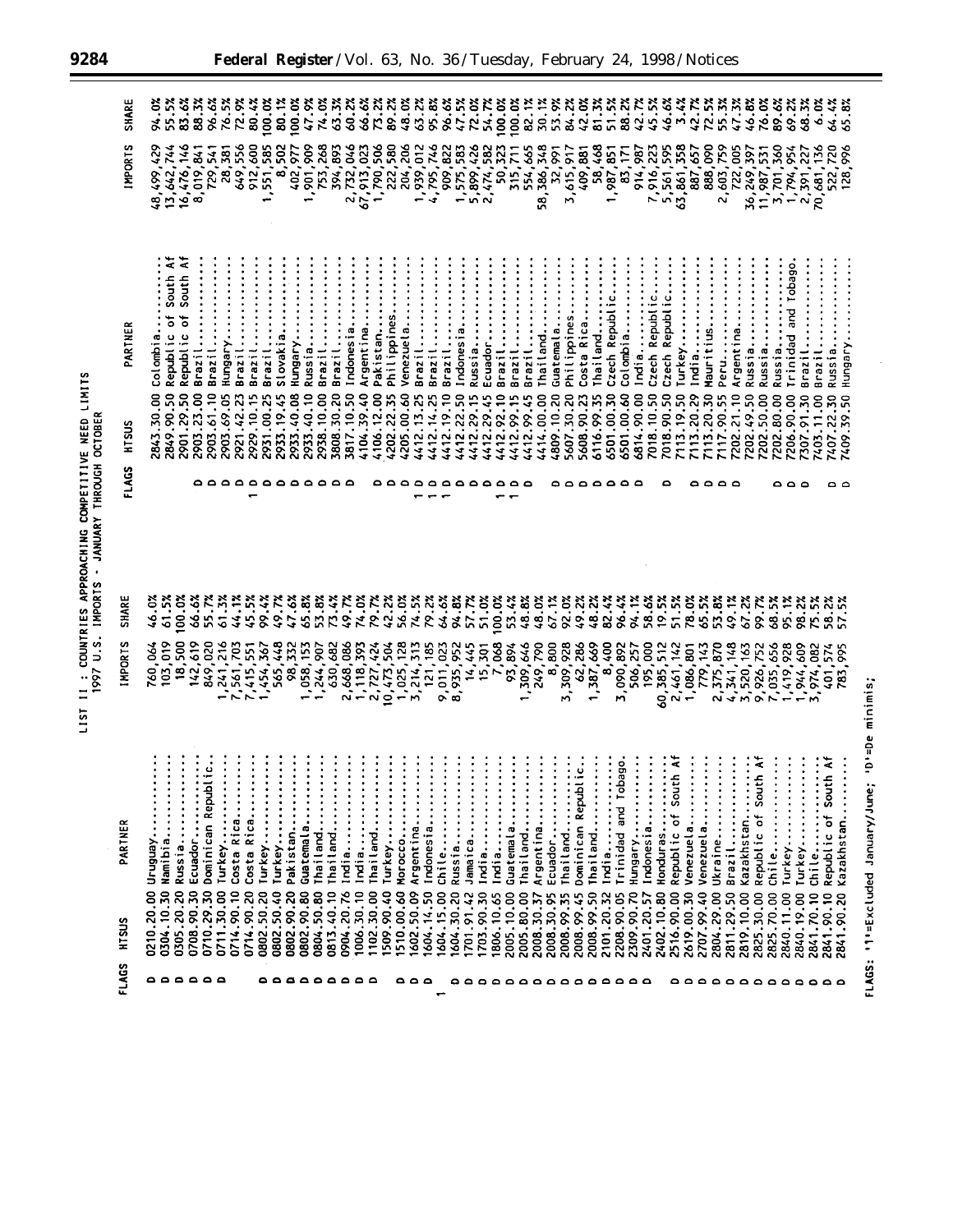| COUNTRIES APPROACHING COMPETITIVE NEED LIMITS | JANUARY THROUGH OCTOBER |
|-----------------------------------------------|-------------------------|
|                                               | $\overline{a}$          |
|                                               | IMPORTS<br>1997 U.S.    |
| LIST <sub>11</sub>                            |                         |

| FLAGS                   | HTSUS                    | $\sim$<br>PARTNE           | <b>IMPORTS</b>         | <b>SHARE</b>   | FLAGS      | HTSUS                    | PARTNER                         | IMPORTS                                             | SHARE                 |
|-------------------------|--------------------------|----------------------------|------------------------|----------------|------------|--------------------------|---------------------------------|-----------------------------------------------------|-----------------------|
| ٥                       | 0210.20.00               | Uruguay                    | 760,064                | 46.03          |            | 2843.30.00               | Colombia                        |                                                     | 94.0%                 |
| $\bullet$               | 0304.10.30               | Namibia                    | 103,019                | 61.5%          |            | 2849.90.50               | South A<br>Republic of          | 48,499,429<br>13,642,744<br>16,476,146<br>8,019,841 | 55.5%                 |
| $\circ$                 | 0305.20.20               | Russia                     | 18,500                 | 100.0%         |            | 2901.29.50               | ξ<br>South<br>Republic of       |                                                     | 83.6%                 |
|                         | 0708.90.30               | Ecuador                    | 142,619                | 66.6%          |            | 2903.23.00               | Brazil                          |                                                     | 88.3%                 |
| $\circ$ $\circ$ $\circ$ | 0710.29.30               | Dominican Republic.        | 849,020                | 55.7%          |            | 2903.61.10               | Brazil                          | 729,541                                             | 96.6%                 |
|                         | 0711.30.00               | Turkey                     | 1,241,216              | 61.3%          |            | 2903.69.05               | Hungary                         | 28,381                                              | 76.5%                 |
|                         | 0714.90.10               | Costa Rica                 |                        | 44.1%          |            | 2921.42.23               | Brazil                          | 649,556                                             |                       |
|                         | 0714.90.20               | Costa Rica                 | 7,561,703<br>7,415,551 | 45.5%          | 0000000000 | 2929.10.15               | Brazil                          | 912,600                                             | $\frac{72.92}{80.42}$ |
|                         | 0802.50.20               | Turkey                     | 1,454,367              | 99.4%          |            | 2931.00.25               | Brazil                          | 551,585                                             |                       |
|                         | 0802.50.40               | Turkey                     | 565,448                | 49.7%          |            | 2933.19.45               | Slovakia                        | 8,502                                               | 80.1%                 |
|                         | 0802.90.20               | Pakistan                   | 98,332                 | 47.6%          |            | 2933.40.08               | Hungary                         | 402,977                                             | 100.0%                |
|                         | 0802.90.80               | Guatemala                  | 1,058,153              | 65.8%          |            | 2933.40.10               | Russia                          | 1,901,909                                           | 47.9%                 |
|                         | 0804.50.80               | Thailand                   | 1,244,907<br>630,682   | 53.8%          |            | 2938.10.00               | Brazil                          | 753,268                                             | 74.0%                 |
|                         | 0813.40.10               | Thailand                   |                        | 73.4%          |            | 3808.30.20               | Brazil                          | 394,893                                             | 63.3%                 |
|                         | 0904.20.76               | India                      | 2,668,086              | 49.7%          |            | 3817.10.50               | Indonesia                       |                                                     | 60.2%                 |
|                         | 1006.30.10               | India                      | 1,118,393              | 74.0%          |            | 4104.39.40               | Argentina                       | 2,732,046<br>67,913,023<br>1,790,506                | 66.6%                 |
|                         | 1102.30.00               | Thailand                   | 2,727,424              | 79.7%          |            | 4106.12.00               | Pakistan                        |                                                     | r.                    |
|                         | 1509.90.40               | Turkey                     |                        | 42.2%          |            | 4202.22.35               | Philippines                     | 222,580                                             | 89.2%                 |
| ۵۵۵                     | 1510.00.60               | $\bullet$<br>Morocco       | 1,025,128              | 56.0%          |            | 4205.00.60               | Venezuela                       | 204,206                                             | 48.0%                 |
|                         | 1602.50.09               | ٠<br>Argentina             | 3,214,313              | 74.5%          |            | 4412.13.25               | $\ddot{\ddot{\cdot}}$<br>Brazil | 1,939,012                                           | 63.2%                 |
|                         | 1604.14.50               | Indonesia                  | 121, 185               | 79.2%          |            | 4412.14.25               | Brazil                          | 746<br>4,795,7                                      | 95.8%                 |
| ÷                       | 1604.15.00               | Chile                      | 9,011,023<br>8,935,952 | 64.6%          |            | 4412.19.10               | Brazil                          |                                                     | 96.6%                 |
|                         | 1604.30.20               | Russia                     |                        | 94.8%          |            | 4412.22.50               | Indonesia                       | 909,822<br>1,575,583                                | 47.5%                 |
|                         | 1701.91.42               | Jamaica                    | 445                    | 57.7%          |            | 4412.29.15               | Russia                          |                                                     | 72.0%                 |
|                         | 1703.90.30               | $\bullet$<br>India         | $14,445$<br>15,301     | 51.0%          |            | 4412.29.45               | Ecuador                         | 5,899,426<br>2,474,582                              | 54.7%                 |
|                         | 1806.10.65               | India                      | 7,068                  | 100.0%         |            | 4412.92.10               | Brazil                          | 323<br>50.                                          | 100.0%                |
|                         | 2005.10.00               | Guatemala                  | 93,894<br>1,309,646    | 53.4%          |            | 4412.99.15               | Brazil                          | 315,711                                             | 100.0                 |
|                         | 2005.80.00               | Thailand                   |                        | 48.8%          |            | 4412.99.45               | Brazil                          | 554,665                                             | 82.1%                 |
|                         | 2008.30.37               | Argentina                  | 249,790                | 48.0%          |            | 4414.00.00               | Thailand                        | 58,386,348                                          | 30.12                 |
|                         | 2008.30.95               | ٠<br>Ecuador               | 8,800                  | 67.1%<br>92.0% |            | 4809.10.20               | Guatemala                       | 32,991                                              | 53.9%                 |
|                         | 2008.99.35               | Thailand                   | 928<br>3,309,9         |                | $\circ$    | 5607.30.20               | Philippines.                    |                                                     | 84.2%                 |
|                         | 2008.99.45               | Dominican Repub            | 62,286<br>1,387,669    | 49.2%          |            | 5608.90.23               | Costa Rica.                     |                                                     | 42.0%                 |
|                         | 2008.99.50<br>2101.20.32 | Thailand                   |                        | 48.2%          |            | 6116.99.35               | Thailand                        | 3,615,917<br>409,881<br>58,468                      | 81.3%                 |
|                         | 2208.90.05               | India<br>Trinidad and To   | 8,400                  | 82.4%          |            | 6501.00.30               | Czech Republic                  | $1,987,851$<br>$83,171$                             | 51.5                  |
| .                       | 2309.90.70               | bago.<br>Hungary           | 3,090,892              | 96.4%          | 00000      | 6501.00.60               | Colombia                        |                                                     | 88.2%                 |
|                         | 2401.20.57               | Indonesia                  | 506,257<br>195,000     | 58.6%<br>94.1% |            | 6814.90.00               | $\vdots$<br>India               | 914,987                                             | 42.7%                 |
|                         | 2402.10.80               | $\ddot{\cdot}$<br>Honduras | 60,385,512             | 19.5%          |            | 7018.10.50               | Czech Republic                  | 7,916,223                                           | 45.5%                 |
|                         | 2516.90.00               | Republic of Sou            | 2,461,142              | 51.5%          |            | 7018.90.50<br>7113.19.50 | Czech Republic                  | 5,561,595<br>63,861,358                             | 46.6%                 |
|                         | 2619.00.30               | Venezuela                  | 1,086,801              | 78.0%          |            | 7113.20.29               | Turkey                          |                                                     | 3.4%                  |
| 0000000000              | 2707.99.40               | Venezuela                  | 779,143                | 65.5%          |            | 7113.20.30               | Mauritius<br>India.             | 888,090<br>887,657                                  | 72.5%<br>42.7%        |
|                         | 2804.29.00               | Ukraine                    | 2,375,870              | 53.8%          |            |                          |                                 |                                                     |                       |
|                         | 2811.29.50               | Brazil                     | 4,341,148              | 49.1%          |            | 7117.90.55<br>7202.21.10 | Peru<br>Argentina               | 2,603,759<br>722,005                                | 55.3%<br>47.3%        |
|                         | 2819.10.00               | Kazakhstan                 | 3,520,163              | 67.2%          |            | 7202.49.50               | Russia                          |                                                     | 46.8%                 |
|                         | 2825.30.00               | Republic of Sou            | 9,926,752              | 99.7%          |            | 7202.50.00               | Russia                          | 36, 249, 397<br>11, 987, 531<br>3, 701, 360         | 76.0%                 |
|                         | 2825.70.00               | Chile                      | ,035,656               | 68.5%          |            | 7202.80.00               | Russia                          |                                                     | 89.6%                 |
|                         | 2840.11.00               | Turkey                     | ,419,928               | 95.1%          |            | 7206.90.00               | Trinidad and Tobago             |                                                     | 69.2%                 |
|                         | 2840.19.00               | Turkey                     | 1,944,609              | 98.2%          | $\circ$    | 307.91.30                | Brazil                          | 1,794,954<br>2,391,227                              | 68.3%                 |
|                         | 2841.70.10               | Chile                      | 3,974,082              | 75.5%          |            | 7403.11.00               | Brazil                          | 70,681,136                                          | 6.0%                  |
| $\circ$                 | 2841.90.10               | th Af<br>Republic of Sou   | 401,574                | 58.2%          | ۰          | 7407.22.30               | Russia                          | 522,720                                             | 64.4%                 |
|                         | 2841.90.20               | Kazakhstan                 | 783,995                | 57.5%          | $\circ$    | 7409.39.50               | Hungary.                        | 8 <sub>o</sub><br>128.                              | 65.8%                 |

 $\leftarrow$ 

Ξ

FLAGS: '1'=Excluded January/June; 'D'=De minimis;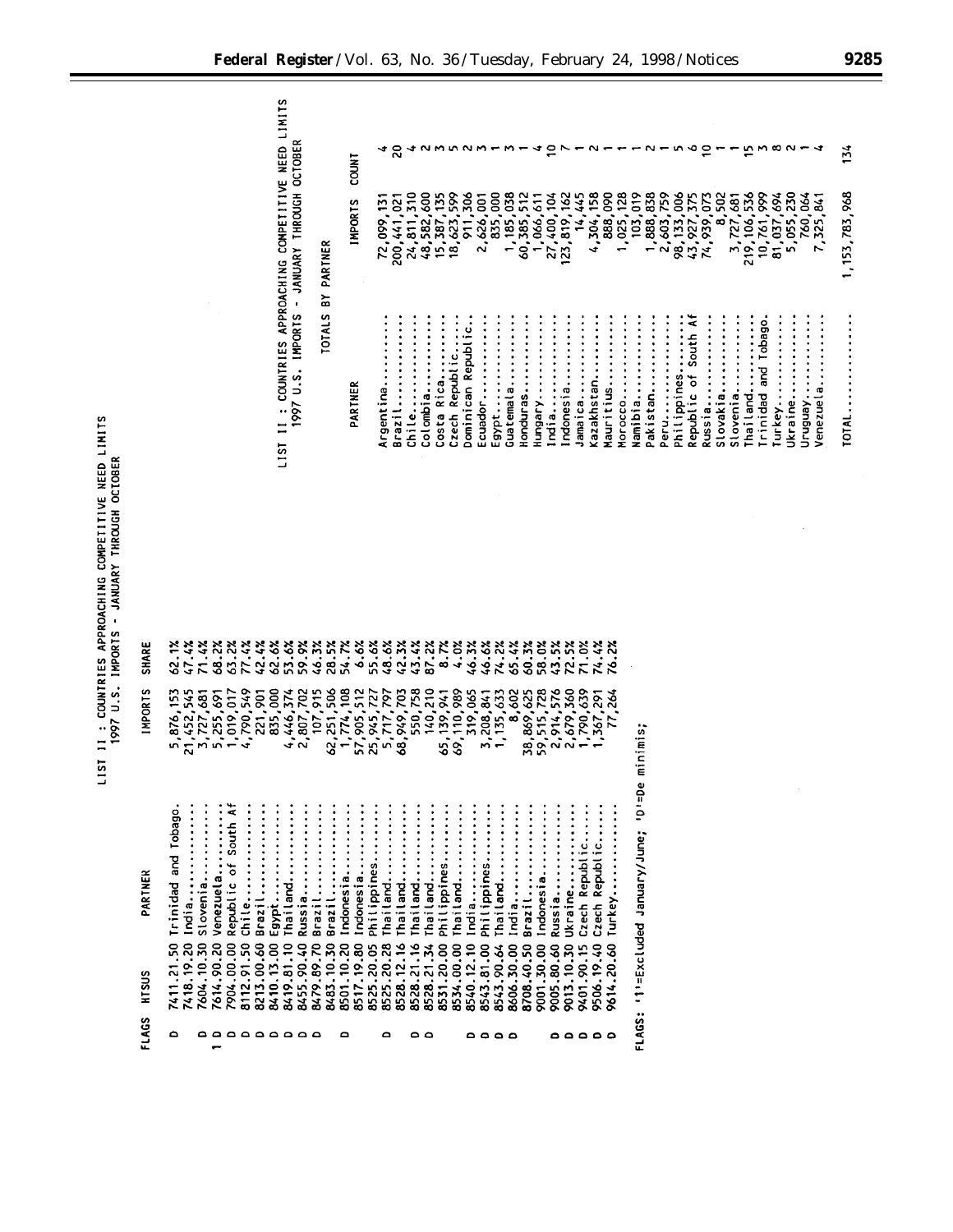LIST II : COUNTRIES APPROACHING COMPETITIVE NEED LIMITS<br>1977 U.S. IMPORTS - JANUARY THROUGH OCTOBER

| SHARE          | 62.1%<br>47.4%                | 71.4%                   | 68.2%      | 63.2%                | 77.4%      | 42.4%                          | 62.6%           | 53.6%      | 59.9%      | $46.3%$<br>28.5% |            | 54.7%      | 6.6%                     | 55.6%       | 48.6%      | 42.3%      | 43.4%      | 87.2%      | 8.7%        | 4.0%                                     | 46.3%      | 46.6%       | 74.2%       | 65.4%               | 60.3%      | 58.0%        | 43.5%      | 72.5%      | 71.0%          | 74.4%                    | ۼ                        |                                                   |
|----------------|-------------------------------|-------------------------|------------|----------------------|------------|--------------------------------|-----------------|------------|------------|------------------|------------|------------|--------------------------|-------------|------------|------------|------------|------------|-------------|------------------------------------------|------------|-------------|-------------|---------------------|------------|--------------|------------|------------|----------------|--------------------------|--------------------------|---------------------------------------------------|
| <b>IMPORTS</b> | 5,876,153                     | 21,452,545<br>3,727,681 | 5,255,691  | 019,017<br>₽         | 790,549    | $\overline{5}$<br><b>221,5</b> | go<br>835/      | 4,446,374  | 2,807,702  | 107,915          | 62,251,506 | 1,774,108  | 57,905,512<br>25,945,727 |             | 5,717,797  | 68,949,703 | 550,758    | 140,210    |             | 65, 139, 941<br>69, 110, 989<br>319, 065 |            | 3,208,841   | 1, 135, 633 | 8,602<br>38,869,625 |            | 59, 515, 728 | 2,914,576  | 2,679,360  |                | 790,639<br>367,291       | 264                      |                                                   |
| PARTNER        | Trinidad and Tobago.<br>India | stovenia                | Venezuela  | Republic of South Af | $Chile$    | Brazil                         | Egypt           | Thailand   | Russia     | Brazil           | Brazil     | Indonesia  | Indonesia                | Philippines | Thailand   | Thailand   | Thailand   | Thailand   | Philippines | Thailand                                 | India      | Philippines | Thailand    | India               | Brazil     | Indonesia    | Russia     | Jkraine    | Czech Republic | Republic<br><b>Czech</b> | $\ddot{\cdot}$<br>Turkey | FLAGS: '1'=Excluded January/June; 'D'=De minimis; |
| HTSUS          | 7411.21.50<br>7418.19.20      | 7604.10.30              | 7614.90.20 | 7904.00.00           | 8112.91.50 | 8213.00.60                     | 8410.13.00      | 8419.81.10 | 8455.90.40 | 8479.89.70       | 8483.10.30 | 8501.10.20 | 8517.19.80               | 8525.20.05  | 8525.20.28 | 8528.12.16 | 8528.21.16 | 8528.21.34 | 8531.20.00  | 8534.00.00                               | 8540.12.10 | 8543.81.00  | 8543.90.64  | 8606.30.00          | 8708.40.50 | 9001.30.00   | 9005.80.60 | 9013.10.30 | 9401.90.15     | 07.4<br>9506.19          | 9614.20.60               |                                                   |
| FLAGS          | ۵                             |                         |            |                      |            |                                | <b>00000000</b> |            |            |                  |            | ٥          |                          |             | ٥          |            | ٥          | $\circ$    |             |                                          |            |             | ٥٥٥٥        |                     |            |              |            | ه ۵ ۵      |                | $\bullet$                |                          |                                                   |

LIST II : COUNTRIES APPROACHING COMPETITIVE NEED LIMITS

| <b>OCTOBER</b><br>JANUARY THROUGH<br>$\bullet$ | PARTNER<br>ត  | <b>COUNT</b><br><b>IMPORTS</b> | ٠<br>ᡐ<br>Š<br>$\tilde{\mathbf{v}}$<br>~ | ⊀ ສ<br>$\frac{1}{2}$<br>84352 |                    | 285       |                                  | mnnm-<br>5885<br>ERRÖS SÖRBE              | ٠<br>٠<br>٠<br>$\sim$                               | 8<br>٠                                       | $m -$<br>۰    | 60,      | 40712711111<br>$rac{1}{250}$<br>٠<br>$\overline{\phantom{0}}$ | ٠<br>$\frac{27}{23}$                                  | ٠<br>en en de la partie de la partie de la partie de la partie de la partie de la partie de la partie de la partie de la partie de la partie de la partie de la partie de la partie de la partie de la partie de la partie de la pa | $\mathbf{14}$           | ٠<br>÷         | 38802                       | ٠                                                   |                                   | 88352<br>$ \frac{1}{2}$ $\frac{1}{2}$ $\frac{1}{2}$ $\frac{1}{2}$ $\frac{1}{2}$ |                            | 588                         | $\sim$                       | $0.95 - 1$<br><b>825234582582855558828</b>                                 | ٠         | $\cdot$                                  | 5.508<br><b>a</b> ngga<br>$219,7,7,8$<br>$219,7,8$<br>$5,7,8$  | 694     | $\boldsymbol{50}$<br>$\mathbf{\tilde{N}}$<br>S.<br>Š | <b>941</b><br>$\frac{3}{25}$<br>$\sim$ m | N                 | 134<br>,968<br>153.783 |
|------------------------------------------------|---------------|--------------------------------|------------------------------------------|-------------------------------|--------------------|-----------|----------------------------------|-------------------------------------------|-----------------------------------------------------|----------------------------------------------|---------------|----------|---------------------------------------------------------------|-------------------------------------------------------|-------------------------------------------------------------------------------------------------------------------------------------------------------------------------------------------------------------------------------------|-------------------------|----------------|-----------------------------|-----------------------------------------------------|-----------------------------------|---------------------------------------------------------------------------------|----------------------------|-----------------------------|------------------------------|----------------------------------------------------------------------------|-----------|------------------------------------------|----------------------------------------------------------------|---------|------------------------------------------------------|------------------------------------------|-------------------|------------------------|
| <b>IMPORTS</b><br>ö<br>っ<br>1997               | <b>TOTALS</b> | PARTNER                        | eg.<br>gent <sup>-</sup><br>ے<br>⋖       | ٠<br>Brazi                    | chile<br>Colombia. | $\bullet$ | Republic<br>Rica<br>iosta<br>ن ن | epubl<br>ō.<br>Czech Repul<br>Dominican F | ٠<br>٠<br>٠<br>٠<br>$\bullet$<br>cuador<br><b>M</b> | ٠<br>٠<br>٠<br>$\bullet$<br>٠<br>gypt.<br>шï | æ<br>Guatemal | Honduras | ٠<br>٠<br>٠<br>Hungary                                        | ٠<br>$\bullet$<br>$\bullet$<br>ndia.<br>$\frac{1}{2}$ | ndonesia<br>$\sim$                                                                                                                                                                                                                  | amaica<br>$\rightarrow$ | azakhstan<br>× | ٠<br>$\bullet$<br>Mauritius | $\bullet$<br>$\bullet$<br>$\ddot{\cdot}$<br>Morocco | $\bullet$<br>$\bullet$<br>Namibia | Pakistan                                                                        | Peru<br>Philippines.<br>ő. | $\bullet$<br>$\bullet$<br>٠ | ⋖<br>South<br>$\ddot{\circ}$ | ٠<br>٠<br>٠<br>٠<br>٠<br>٠<br>Republic<br>Russia<br>Slovakia.<br>Slovenia. | $\bullet$ | ٠<br>$\bullet$<br>Thailand.<br>$\bullet$ | ۰<br>Tobago<br>٠<br>٠<br>na<br>Ta<br>٠<br>٠<br><b>Trinidad</b> | Turkey. | g<br>Ukraii                                          | Ven6nJN                                  | ω<br>سب<br>enezue | IOTAL                  |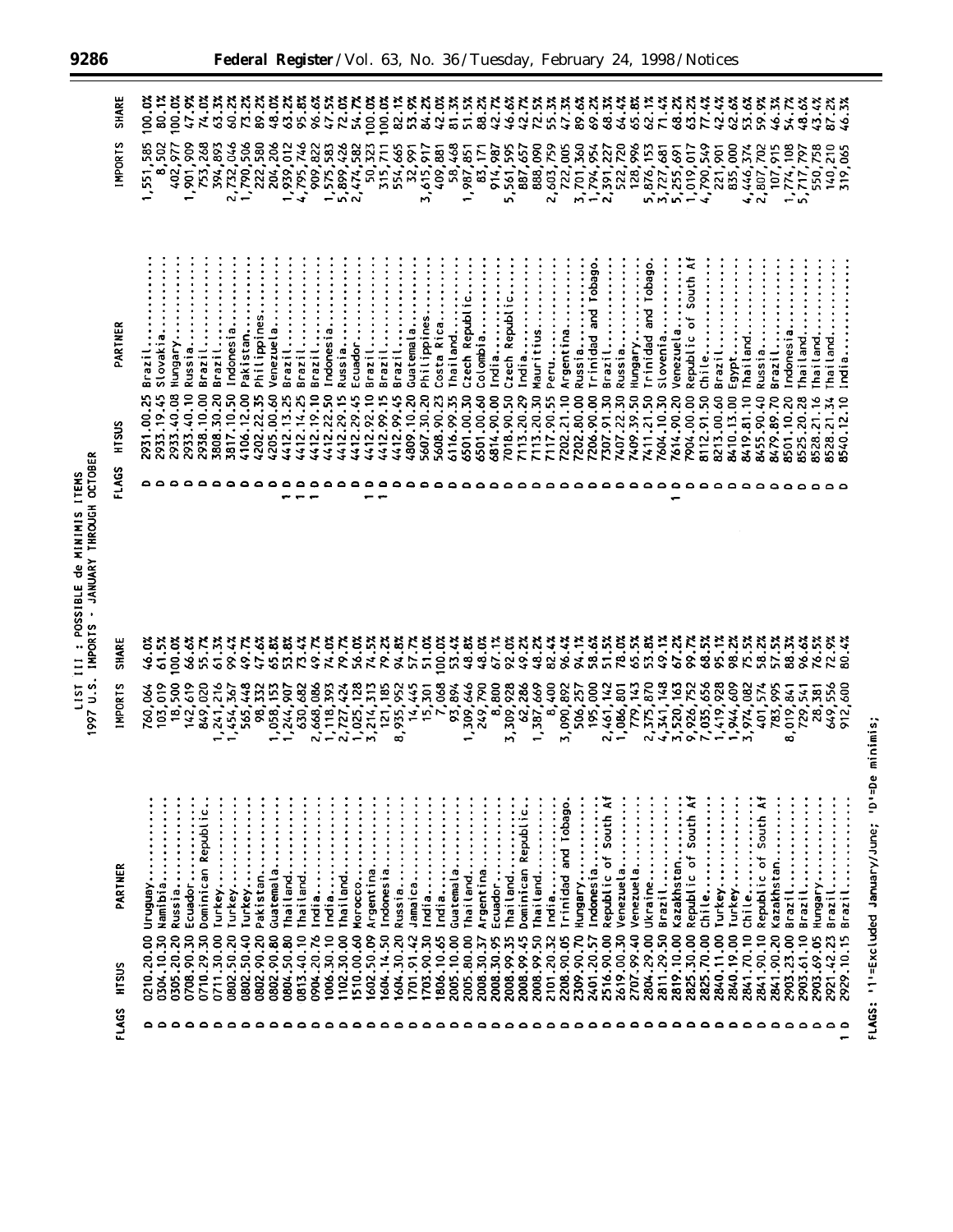| <b>ITEMS</b>         | <b>OCTOBER</b> |
|----------------------|----------------|
| NININIS              | THROUGH        |
| 유<br><b>POSSIBLE</b> | <b>ANIIARY</b> |
| $1151$ $111$         | <b>IMPORTS</b> |
|                      | 997 U.S.       |

Ξ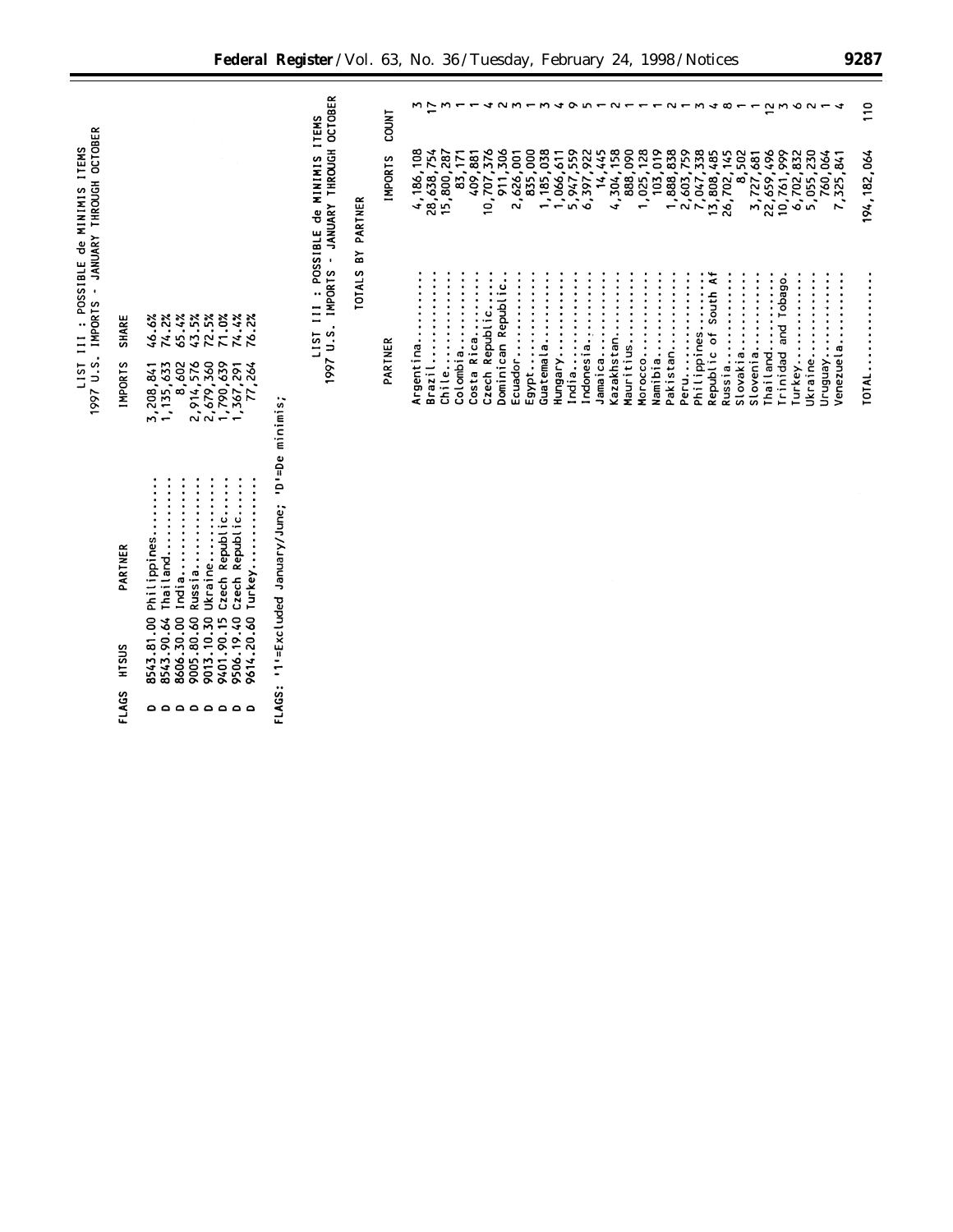|                                                                                     |                |                                                                                                                             | Federal Register / Vol. 63, No. 36 / Tuesday, February 24, 1998 / Notices     |                |           |                          |          |            |                 |                     |                      |           |           |                    |                     |             |            |                          |                      |                        |             |             |                     |          |          |                                       |                        |         |                       | 9287           |
|-------------------------------------------------------------------------------------|----------------|-----------------------------------------------------------------------------------------------------------------------------|-------------------------------------------------------------------------------|----------------|-----------|--------------------------|----------|------------|-----------------|---------------------|----------------------|-----------|-----------|--------------------|---------------------|-------------|------------|--------------------------|----------------------|------------------------|-------------|-------------|---------------------|----------|----------|---------------------------------------|------------------------|---------|-----------------------|----------------|
|                                                                                     |                |                                                                                                                             | <b>ITEMS</b>                                                                  | <b>LOUNT</b>   | mг        |                          | $m -$    |            | $4$ $N$ $M$ $-$ |                     |                      |           |           | $m + o$ $n - o -$  |                     |             |            | $\overline{\phantom{a}}$ | $\sim$               |                        | M           | ෑ           | $\infty$            |          |          | $2m$ $\circ$ $\circ$ $-$              |                        |         |                       | $\frac{1}{10}$ |
|                                                                                     |                |                                                                                                                             | TOTALS BY PARTNER                                                             | <b>IMPORTS</b> | 4,186,108 | 28,638,754<br>15,800,287 | 83,171   | 409,881    | 10,707,376      | 911,306             | 835,000<br>2,626,001 | 1,185,038 | 1,066,611 | 5,947,559          | 6,397,922<br>14,445 | 4,304,158   | 888,090    | 1,025,128                | 103,019<br>1,888,838 | 2,603,759<br>7,047,338 |             | 13,808,485  | 8,502<br>26,702,145 |          |          | 3,727,681<br>22,659,496<br>10,761,999 | 6,702,832<br>5,055,230 |         | 760,064<br>7,325,841  | 194, 182, 064  |
| 1997 U.S. IMPORTS - JANUARY THROUGH OCTOBER<br>LIST III : POSSIBLE de MINIMIS ITEMS | <b>SHARE</b>   | 74.2%<br>65.4%<br>43.5%<br>72.5%<br>71.0%<br>74.4%<br>76.2%<br>46.6%                                                        | 1997 U.S. IMPORTS - JANUARY THROUGH OCTOBER<br>LIST III : POSSIBLE de MINIMIS |                |           |                          | Colombia |            | Republic        | Dominican Republic. |                      |           |           |                    |                     |             |            |                          |                      |                        |             | South Af    |                     | slovenia |          | Trinidad and Tobago                   |                        |         |                       |                |
|                                                                                     | <b>IMPORTS</b> | 2,914,576<br>2,679,360<br>1,790,639<br>8,602<br>1,367,291<br>1, 135, 633<br>3,208,841                                       |                                                                               | PARTNER        | Argentina | Brazil                   | Chile    | Costa Rica | Czech           |                     | Egypt<br>Ecuador     | Guatemala | Hungary   | India<br>Indonesia | Jamaica             | Kazakhstan. | Mauritius. | Namibia<br>Morocco       | Pakistan             | Peru                   | Philippines | Republic of | Slovakia<br>Russia  |          | Thailand |                                       | Turkey                 | Ukraine | Venezuela<br>Uruguay. | TOTAL.         |
|                                                                                     | PARTNER        | Czech Republic<br>Czech Republic<br>Turkey<br>Philippines<br>Thailand<br>India                                              | '1'=Excluded January/June; 'D'=De minimis;                                    |                |           |                          |          |            |                 |                     |                      |           |           |                    |                     |             |            |                          |                      |                        |             |             |                     |          |          |                                       |                        |         |                       |                |
|                                                                                     | HTSUS          | 9005.80.60 Russia<br>9013.10.30 Ukraine<br>9506.19.40<br>9614.20.60<br>8543.90.64<br>9401.90.15<br>8543.81.00<br>8606.30.00 |                                                                               |                |           |                          |          |            |                 |                     |                      |           |           |                    |                     |             |            |                          |                      |                        |             |             |                     |          |          |                                       |                        |         |                       |                |
|                                                                                     | FLAGS          | <b>00000000</b>                                                                                                             | FLAGS:                                                                        |                |           |                          |          |            |                 |                     |                      |           |           |                    |                     |             |            |                          |                      |                        |             |             |                     |          |          |                                       |                        |         |                       |                |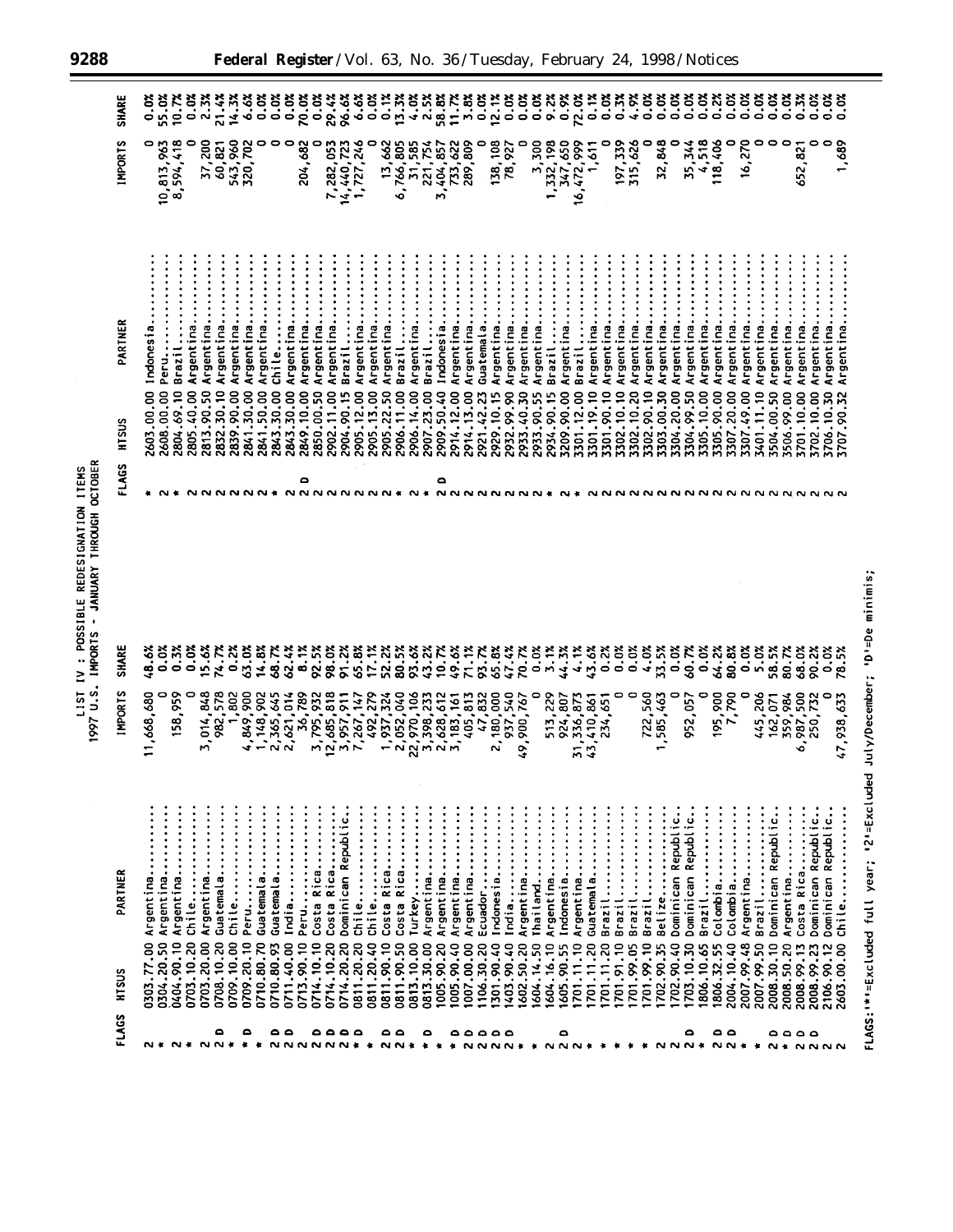| <b>ITEMS</b>    | OCTOBER       |
|-----------------|---------------|
| REDESIGNATION 1 | <b>THROUG</b> |
| POSSIBLE F      | <b>ANUARY</b> |
|                 | IMPORTS       |
| LIST IV         | IS.N 1661     |

| <b>FLAGS</b>               | HTSUS                    | PARTNER                                     | <b>IMPORTS</b>                                    | <b>SHARE</b>                   | FLAGS               | HTSUS                         | PARTNER                | <b>INPORTS</b>           | <b>SHARE</b> |
|----------------------------|--------------------------|---------------------------------------------|---------------------------------------------------|--------------------------------|---------------------|-------------------------------|------------------------|--------------------------|--------------|
| N *                        | 0303.77.00               | $\vdots$<br>Argentina                       | 11,668,680                                        | 48.6%                          |                     | 2603.00.00                    | Indonesia              | 0                        | 0.0%         |
|                            | 0304.20.50               | Argentina                                   |                                                   | 0.0%                           |                     | 2608.00.00                    | Peru                   | 10,813,963               | 55.0%        |
| $\sim$                     | 0404.90.10               | Argentina                                   | 158,959                                           | 0.3%                           |                     | 2804.69.10                    | $\ddot{}}$ :<br>Brazil | 8,594,418                | 10.7%        |
| $\bullet$                  | 0703.10.20               | Chile                                       | 0                                                 | 0.0%                           |                     | 2805.40.00                    | Argentina              |                          | $0.0\%$      |
|                            | 0703.20.00               | Argentina                                   | 3,014,848                                         | 15.6%                          | ິ                   | 2813.90.50                    | Argentina              | 37,200<br>60,821         | 2.3%         |
| ٥<br>N N                   | 0708.10.20               | Guatemala                                   | 982,578                                           | 74.7X                          |                     | 2832.30.10                    | Argentina              |                          | 21.4%        |
| $\cdot$                    | 0709.10.00               | chile                                       | 1,802                                             | 0.2%                           |                     | 2839.90.00                    | Argentina              | 543,960                  | 14.3%        |
| ٥                          | 0709.20.10               | <b>Peru.</b>                                | ,849,900                                          | 63.0%                          | ៱៷៷                 | 2841.30.00                    | Argentina.             | 320,702                  | 6.6%         |
|                            | 0710.80.70               | Guatemala                                   | 148,902<br>$\ddot{\phantom{0}}$                   | 14.8%                          |                     | 2841.50.00                    | Argentina              | o                        | 0.0%         |
| ە ە                        | 0710.80.93               | Guatemala                                   | 2,365,645                                         | 68.7%                          |                     | 2843.30.00                    | chile                  | 0                        |              |
| * NNNNNN* * NN*            | 0711.40.00               | India                                       | ,621,014                                          | 62.4%                          |                     | 2843.30.00                    | Argentina.             | 0                        | 0.0%         |
|                            | 0713.90.10               | Peru                                        | 36,789                                            | 8.1%                           | ۵                   | 2849.10.00                    | Argentina.             | 204,682                  | 70.0%        |
| ٥٥٥٥                       | 0714.10.10               | Costa Rica                                  | 3,795,932<br>12,685,818<br>3,957,911<br>7,267,147 | 92.5%                          |                     | 2850.00.50                    | Argentina.             | 0                        | 0.0%         |
|                            | 0714.10.20               | Costa Rica                                  |                                                   | 98.0%                          |                     | 2902.11.00                    | Argentina.             | 7,282,053                | 29.4%        |
|                            | 0714.20.20               | Dominican Republic.                         |                                                   | 91.2%                          |                     | 2904.90.15                    | $\vdots$<br>Brazil     | 14,440,723               | 96.6%        |
|                            | 0811.20.20               | chile                                       | 1,267,147                                         | 65.8%                          | <b>NNNNNNN</b>      | 2905.12.00                    | Argentina              | 1,727,246                | 6.6%         |
|                            | 0811.20.40               | chile                                       |                                                   | 17.1%                          |                     | 2905.13.00                    | Argentina.             |                          | 0.0%         |
| ە ە                        | .90.10<br>$0811$ .       | Costa Rica                                  | 492,279<br>1,937,324<br>2,052,040                 | 52.2%                          |                     | 2905.22.50                    | Argentina.             | 13,662                   | 0.1%         |
|                            | 0811.90.50               | Costa Rica                                  |                                                   | 80.5%                          |                     | 2906.11.00                    | $\vdots$<br>Brazil     | 6,766,805                | 13.3%        |
|                            | 0813.10.00               | Turkey                                      | 22,970,106<br>3,398,233                           | 93.6%                          |                     | 2906.14.00                    | Argentina.             | 31,585                   | 4.52         |
| ۰                          | 0813.30.00               | Argentina                                   |                                                   | 43.2%                          |                     | .23.00<br>2907                | Brazil                 | 221,754                  |              |
| * * *                      | 1005.90.20               | Argentina                                   | 2,628,612                                         | 10.7%                          | ٥<br>$\sim$         | 2909.50.40                    | Indonesia              | 404,857<br>$\frac{1}{2}$ | 58.8%        |
|                            | 1005.90.40               | Argentina                                   | ,183,161<br>$\mathbf{M}$                          | 49.6%                          | <b>NNNNN</b>        | 2914.12.00                    | Argentina.             | 733,622                  | 11.7%        |
|                            | 1007.00.00               | Argentina                                   |                                                   | 71.1%                          |                     | 2914.13.00                    | Argentina.             | 289,809                  | 3.8%<br>0.0% |
| ٥٥٥٥                       | 1106.30.20               | Ecuador                                     | 405,813<br>47,832                                 | 93.7%                          |                     | 2921.42.23                    | Guatemala.             | 0                        |              |
|                            | 1301.90.40               | Indonesia                                   | 2,180,000                                         | 65.8%                          |                     | 2929.10.15                    | Argentina.             | 138,108                  | 12.1%        |
| $\circ$                    | 1403.90.40               | India                                       | 937,540                                           | 47.4%                          |                     | 2932.99.90                    | Argentina.             | 78,927                   | 0.0%         |
|                            | 1602.50.20               | Argentina                                   | 49,900,767                                        | 70.7%                          |                     | 2933.40.30                    | Argentina.             | 0                        | 0.0%         |
| NNNN * * NNN *             | 604.14.50                | Thailand                                    | 0                                                 | $0.0\%$                        |                     | m<br>2933.90.5                | Argentina.             | 3,300                    | $0.0\%$      |
|                            | 1604.16.10               | Argentina                                   | 513,229                                           | 3.1%                           |                     | 2934.90.15                    | Brazil                 | 1,332,198                | 9.2%         |
| ٥                          | 1605.90.55               | Indonesia                                   | 924,807                                           | 44.3%                          |                     | 3209.90.00                    | Argentina              | 347,650                  | 0.9%         |
|                            | 701.11.10                | Argentina                                   | 336,873<br>$\frac{1}{2}$                          | 4.1%                           |                     | 3301.12.00                    | Brazil                 | 16,472,999               | 72.0%        |
|                            | 1701.11.20               | Guatemala                                   | 410,861<br>43,1                                   | 43.6%                          |                     | 3301.19.10                    | Argentina.             | 1,611                    | 0.1%         |
| $\ddot{\phantom{1}}$       | 701.11.20                | Brazil                                      | 234,651                                           | 0.2%                           |                     | 3301.90.10                    | Argentina.             | 0                        | 0.0%         |
| - 41                       | 701.91.10                | Brazil                                      | 0                                                 | 0.0%                           |                     | 3302.10.10                    | Argentina.             | 197,339                  | 0.3%         |
|                            | 701.99.05                | Brazil                                      | 0                                                 | 0.0%                           |                     | 3302.10.20                    | Argentina.             | 315,626                  | 4.9%         |
| ٠                          | 701.99.10                | Brazil                                      | 722,560                                           | 4.0%                           |                     | 3302.90.10                    | Argentina.             | 0                        | 0.0%         |
| <b>NNN*</b>                | 702.90.35                | Belize                                      | 585,463                                           | 33.5%                          |                     | 3303.00.30                    | Argentina.             | 32,848                   | $0.0\%$      |
|                            | 702.90.40                | Dominican Republic                          | 0                                                 | 0.0%                           |                     | 3304.20.00                    | Argentina.             |                          | $0.0\%$      |
| ٥                          | 1703.10.30               | Dominican Republic.                         | 952,057                                           | 60.7%                          |                     | 3304.99.50                    | Argentina.             | 35,344                   | 0.0%         |
|                            | 1806.10.65               | Brazil                                      | 0                                                 | 0.0%                           |                     | 3305.10.00                    | Argentina.             | 4,518                    | $0.0\%$      |
| ٥<br>$N N$ $\star$ $\star$ | 1806.32.55               | Colombia                                    | 195,900                                           | 64.2%                          |                     | 3305.90.00                    | Argentina.             | 18,406                   | 0.2%         |
| $\bullet$                  | 2004.10.40               | Colombia                                    | 7,790                                             | 80.8%                          |                     | 3307.20.00                    | Argentina              | 0                        | $0.0\%$      |
|                            | 2007.99.48               | Argentina                                   | 0                                                 | 0.0%                           |                     | 3307.49.00                    | Argentina.             | 16,270                   | 0.0%         |
|                            | 2007.99.50               | Brazil                                      | 445,206                                           | 5.0%                           |                     | 3401.11.10                    | Argentina.             |                          | 0.07         |
|                            | 2008.30.10               | Dominican Republic                          |                                                   | 58.5%                          |                     | 3504.00.50                    | Argentina.             |                          | $0.0\%$      |
| ٥٥٥٥                       | 2008.50.20               | Argentina                                   | 162, 071<br>359, 984<br>987, 500                  | 80.7%                          |                     | 3506.99.00                    | Argentina.             | 0                        | 0.0%         |
|                            | 2008.99.13               | $\ddot{\cdot}$<br>Costa Rica                | ွ.                                                | 68.0%                          |                     | 3701.10.00                    | Argentina.             | 652,821                  | 0.3%         |
| <b>N* NNNN</b>             | 2008.99.23               | Dominican Republic                          | 250,732<br>0                                      | 90.2%<br>ວ.<br>ວ               | <b>NNNNNNNNNNNN</b> | 3702.10.00                    | Argentina              | ۰<br>0                   | $0.0\%$      |
|                            | 2603.00.00<br>2106.90.12 | Dominican Republic.                         | 47,938,633                                        | 78.5%                          |                     | 3706.10.30<br>'.90.32<br>2707 | Argentina              |                          | 0.0%<br>0.0% |
|                            |                          | Chile                                       |                                                   |                                |                     |                               | Argentina              | 1,689                    |              |
|                            |                          | FLAGS: "*"=Excluded full year; "2"=Excluded |                                                   | July/December; 'D'=De minimis; |                     |                               |                        |                          |              |
|                            |                          |                                             |                                                   |                                |                     |                               |                        |                          |              |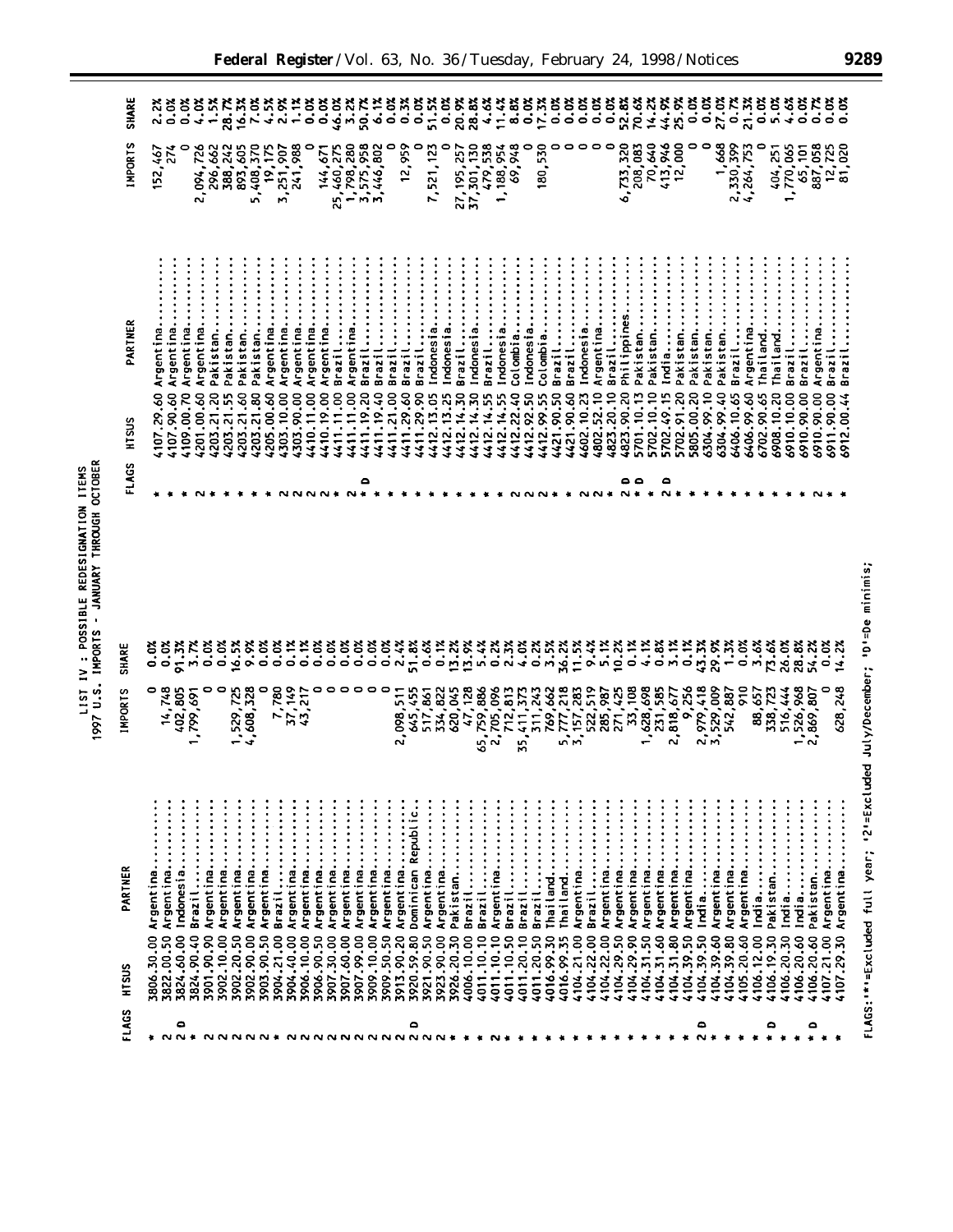| <b>SHARE</b>     |                         | 2.2%                    | 0.0%                    | 4.0%                                            | 1.5%                    | 28.7%                   |                                           | $16.3x$<br>7.0%<br>4.5% | 2.9%                 | 1.12                      | $0.0\%$                                   | 0.0%                    |                                               | $46.02$<br>$50.72$                                 |                                           | 6.1%                    |                         | 0.3%<br>0.02                      |                         | 51.5%                    | 20.9%                  |                                   | 28.8%                                                             |                                       | $\frac{11.47}{8.8%}$ | 0.0%                 | 17.3%                | 0.0                    | 0.02                                              | 0.07                 | 0.0%                                                                                                                                                                                                                                                                                            |                                     | 52.8%                   |                          | $14.28$<br>$44.98$<br>25.9% |                         | 0.0%                    |                     | $\frac{33}{27.78}$                    |                                     | 21.3%                   | $0.0\%$                         | 5.0%       | 4.6%                         | 0.0%                            | 0.72                                  | 0.02                     |
|------------------|-------------------------|-------------------------|-------------------------|-------------------------------------------------|-------------------------|-------------------------|-------------------------------------------|-------------------------|----------------------|---------------------------|-------------------------------------------|-------------------------|-----------------------------------------------|----------------------------------------------------|-------------------------------------------|-------------------------|-------------------------|-----------------------------------|-------------------------|--------------------------|------------------------|-----------------------------------|-------------------------------------------------------------------|---------------------------------------|----------------------|----------------------|----------------------|------------------------|---------------------------------------------------|----------------------|-------------------------------------------------------------------------------------------------------------------------------------------------------------------------------------------------------------------------------------------------------------------------------------------------|-------------------------------------|-------------------------|--------------------------|-----------------------------|-------------------------|-------------------------|---------------------|---------------------------------------|-------------------------------------|-------------------------|---------------------------------|------------|------------------------------|---------------------------------|---------------------------------------|--------------------------|
| <b>IMPORTS</b>   | 152,467                 |                         |                         | 2,094,726                                       | 296,662                 | 388,242                 | 893,605                                   | 5,408,370               | 19,175               | 241,988<br>3,251,907      |                                           | 144,671                 | 25,460,275<br>1,798,280                       |                                                    | 3,575,958<br>3,446,802                    |                         | 0                       | 12,959<br>۰                       | 7,521,123               |                          |                        | 27, 195, 257<br>37, 301, 130      | 479,538                                                           | 1,188,954                             | 69,948               | 0                    | 180,530              |                        |                                                   |                      | 0                                                                                                                                                                                                                                                                                               | 0                                   | 6,733,320               | 70,640<br>208,083        | 413,946                     | 12,000                  |                         | 0                   | 1,668                                 | 2,330,399                           | 4,264,753               |                                 | 404,251    | 1,770,065                    | 65,101                          |                                       | $12, 725$<br>81,020      |
| PARTNER          | Argentina.              | Argentina.              | Argentina               | Argentina.                                      | Pakistan                | Pakistan.               | Pakistan                                  | Pakistan                | Argentina            | Argentina<br>Argentina.   | Argentina                                 | Argentina.              | Brazil                                        | Argentina                                          | Brazil                                    | Brazil                  | Brazil                  | Brazil                            | Brazil                  | Indonesia<br>Indonesia.  | Brazil                 | Indonesia.                        | Brazil                                                            | Indonesia                             | Colombia.            | Indonesia            | Colombia.            | Brazil                 | Brazil                                            | Indonesia            | Argentina                                                                                                                                                                                                                                                                                       | Brazil                              | Philippines             | Pakistan<br>Pakistan     | India                       | Pakistan                | Pakistan.               | Pakistan            | Pakistan.                             | Brazil                              | Argentina.              | Thailand                        | Thailand   | Brazil                       | Brazi                           | Argentina                             | Brazil<br>Brazi          |
| HTSUS            | (107.29.60              | 4107.90.60              | 4109.00.70              | \$201.00.60                                     | 1203.21.20              | 4203.21.55              | (203.21.60                                | 4203.21.80              | 4205.00.60           | 4303.90.00<br>303.10.00   | 4410.11.00                                | 4410.19.00              | 4411.11.00                                    | 4411.11.00                                         | 4411.19.20                                | 4411.19.40              | 4411.21.00              | 4411.29.60                        | 4411.29.90              | 4412.13.05<br>4412.13.25 | 4412.14.30             | 4412.14.30                        | 4412.14.55                                                        | 4412.14.55                            | 4412.22.40           | 4412.92.50           | 4412.99.55           | 4421.90.50             | 4421.90.60                                        | 4602.10.23           | 4802.52.10                                                                                                                                                                                                                                                                                      | 4823.20.10                          | 4823.90.20              | 5702.10.10<br>5701.10.13 | 5702.49.15                  | 5702.91.20              | 5805.00.20              | 6304.99.10          | 6304.99.40                            | 6406.10.65                          | 6406.99.60              | 6702.90.65                      | 6908.10.20 | 6910.10.00                   | 6910.90.00                      | 6910.90.00                            | 6911.90.00<br>6912.00.44 |
| <b>FLAGS</b>     |                         |                         |                         |                                                 |                         |                         |                                           |                         |                      |                           |                                           |                         |                                               |                                                    | $\bullet$                                 |                         |                         |                                   |                         |                          |                        |                                   |                                                                   |                                       |                      |                      |                      |                        |                                                   |                      |                                                                                                                                                                                                                                                                                                 |                                     | ە ە<br>N #              |                          | ٥<br>ึ                      |                         |                         |                     |                                       |                                     |                         |                                 |            |                              |                                 |                                       |                          |
| <b>SHARE</b>     | ី<br>០. ប<br>០          |                         | 91.3%<br>3.7%           | 0.0%                                            | 0.0%                    |                         | $16.5%$<br>9.9%                           | 0.0%                    |                      |                           | $\frac{1}{2}$                             |                         |                                               |                                                    |                                           | 0.0%                    | 2.4%                    | 51.8%                             | 0.6%                    | 0.1%                     | $13.2%$<br>$13.9%$     |                                   | $5.4%$<br>0.2%                                                    |                                       | 2.3%                 | 4.0%                 | 0.2%                 | 3.5%                   | 11.5%<br>36.2%                                    | 9.4%                 | 5.1%                                                                                                                                                                                                                                                                                            | 10.2%                               | 0.1%                    | 4.1%                     | 0.8%                        | 3.1%                    | 0.1%                    | 43.3%               | 29.9%                                 | 1.3%<br>0.0%                        | 3.6%                    | 73.6%                           | 26.0%      | 28.8%                        | 54.2%                           |                                       | 32<br>14.22              |
| <b>IMPORTS</b>   |                         | 14,748<br>402,805       | ,799,691                | 0                                               | $\bullet$               | 1,529,725               | 4,608,328                                 | 0                       |                      | 7,780<br>37,149<br>43,217 |                                           |                         |                                               |                                                    |                                           |                         | 2,098,511               |                                   | 645,455<br>517,861      | 334,822                  |                        |                                   | $620,045$<br>$47,128$<br>$65,759,886$<br>$2,705,096$<br>$712,813$ |                                       |                      | 35,411,373           |                      |                        |                                                   |                      | $\begin{array}{l} 311,243 \\ 769,662 \\ 769,662 \\ 777,238 \\ 5,777,238 \\ 5,837 \\ 5,739 \\ 5,739 \\ 5,739 \\ 7,739 \\ 7,739 \\ 7,739 \\ 7,739 \\ 7,739 \\ 7,739 \\ 7,739 \\ 7,739 \\ 7,739 \\ 7,739 \\ 7,739 \\ 7,739 \\ 7,739 \\ 7,739 \\ 7,739 \\ 7,739 \\ 7,739 \\ 7,739 \\ 7,739 \\ 7,73$ |                                     |                         |                          | 231,585                     | 2,818,677               | 9,256                   |                     | 2,979,418<br>3,529,009<br>542,887     | ξ                                   |                         | 88,657<br>338,723               | 516,444    | 526,968                      | ,869,807<br>$\bullet$<br>$\sim$ | 0                                     | 628,248                  |
| PARTNER<br>HTSUS | Argentina<br>3806.30.00 | Argentina<br>3822.00.50 | Indonesia<br>3824.60.00 | Argentina<br>Brazil<br>3824.90.40<br>3901.90.90 | Argentina<br>3902.10.00 | Argentina<br>3902.20.50 | $\ddot{\cdot}$<br>Argentina<br>3902.90.00 | Argentina<br>3903.90.50 | Brazil<br>3904.21.00 | Argentina<br>3904.40.00   | $\ddot{\cdot}$<br>Argentina<br>3906.10.00 | Argentina<br>3906.90.50 | $\ddot{}}$ : : : :<br>Argentina<br>3907.30.00 | Argentina<br>Argentina<br>3907.99.00<br>3907.60.00 | Argentina<br>$\ddot{\cdot}$<br>3909.10.00 | Argentina<br>3909.50.50 | Argentina<br>3913.90.20 | Dominican Republic.<br>3920.59.80 | Argentina<br>3921.90.50 | Argentina<br>3923.90.00  | Pakistan<br>3926.20.30 | $\ddot{}$<br>Brazil<br>4006.10.00 | Brazil<br>4011.10.10                                              | $\ddot{z}$<br>Argentina<br>4011.10.10 | Brazil<br>4011.10.50 | Brazil<br>4011.20.10 | Brazil<br>4011.20.50 | Thailand<br>4016.99.30 | Argentina<br>Thailand<br>4104.21.00<br>4016.99.35 | Brazil<br>4104.22.00 | Argentina<br>4104.22.00                                                                                                                                                                                                                                                                         | $\vdots$<br>Argentina<br>4104.29.50 | Argentina<br>4104.29.90 | Argentina<br>4104.31.50  | Argentina<br>4104.31.60     | Argentina<br>4104.31.80 | Argentina<br>4104.39.50 | India<br>4104.39.50 | Argentina<br>4104.39.80<br>4104.39.60 | $\vdots$<br>Argentina<br>4105.20.60 | Argentina<br>4106.12.00 | Pakistan<br>India<br>4106.19.30 | 4106.20.30 | India<br>India<br>4106.20.60 | Pakistan<br>4106.20.60          | Argentina<br>$\ddot{}}$<br>4107.21.00 | Argentina<br>4107.29.30  |
| FLAGS            | ÷                       | $\sim$ $\sim$           | ٥<br>۰                  |                                                 |                         |                         |                                           |                         |                      |                           |                                           |                         |                                               | <b>NNNNNN</b>                                      |                                           |                         |                         | ٥                                 |                         | 2 U                      |                        |                                   |                                                                   |                                       |                      |                      |                      |                        |                                                   |                      |                                                                                                                                                                                                                                                                                                 |                                     |                         |                          |                             |                         |                         | ٥                   |                                       |                                     |                         | ۵                               |            |                              | ٥                               |                                       |                          |

1997 U.S. IMPORTS - JANUARY THROUGH OCTOBER

**Federal Register** / Vol. 63, No. 36 /Tuesday, February 24, 1998 / Notices **9289**

FLAGS: "\*"=Excluded full year; '2'=Excluded July/December; 'D'=De minimis;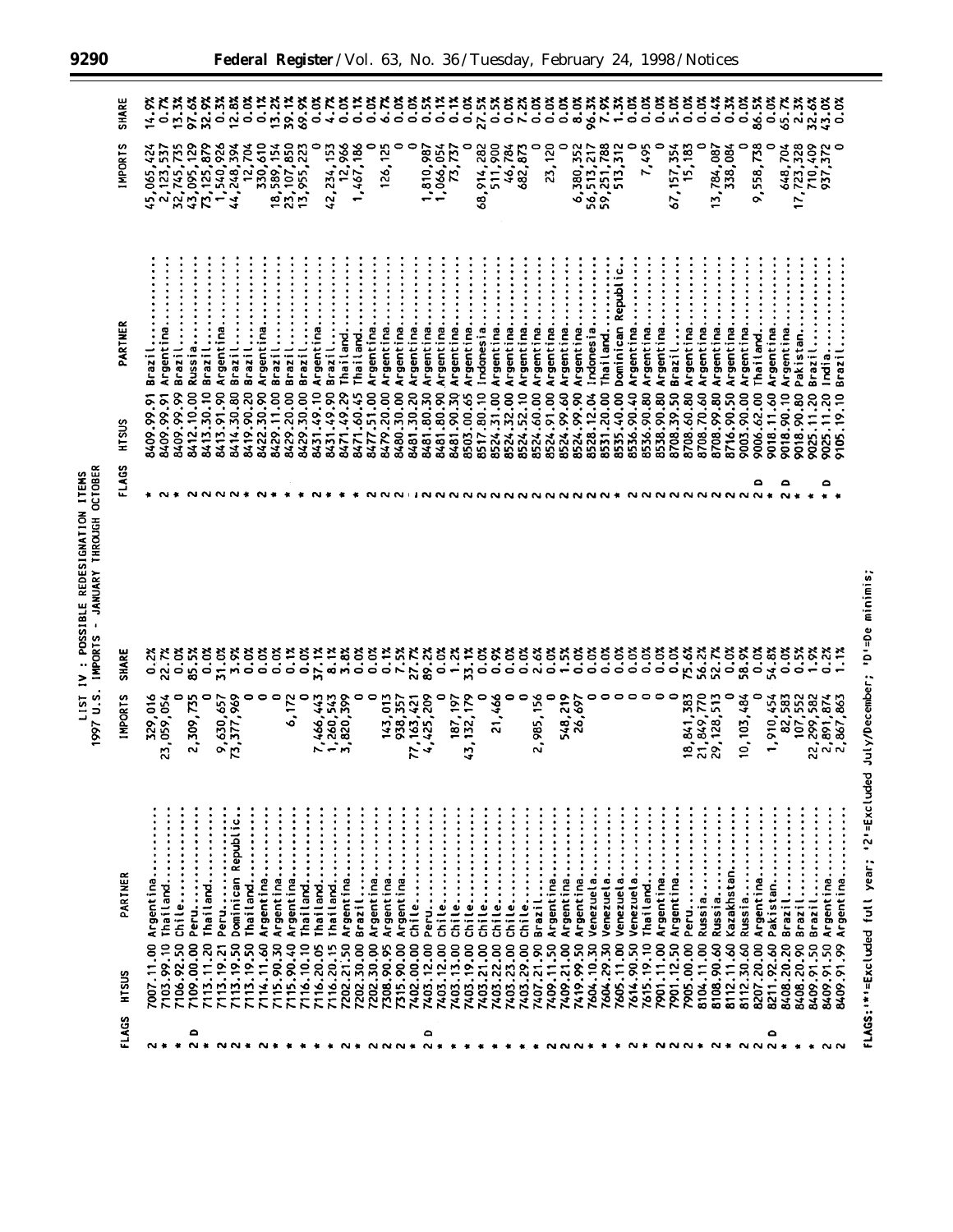| FLAGS        | HTSUS                    | PARTNER                | <b>IMPORTS</b>                             | SHARE                      | FLAGS | HTSUS                    | PARTNER                | <b>IMPORTS</b>                           | <b>SHARE</b>                                     |
|--------------|--------------------------|------------------------|--------------------------------------------|----------------------------|-------|--------------------------|------------------------|------------------------------------------|--------------------------------------------------|
|              | 7007.11.00               | Argentina.             | 329,016                                    |                            |       | 8409.99.91               | Brazil                 | 45,065,                                  | 14.9%                                            |
| ៷៵           | 7103.99.10               | Thailand               | 23,059,054                                 | $\frac{27}{22.72}$         |       |                          | Argentina              | 2, 123, 537                              |                                                  |
|              | 7106.92.50               | :::::<br>Chile         | 0                                          |                            |       | 8409.99.91               | Brazil                 |                                          |                                                  |
| ٥<br>$N$ $*$ | 7109.00.00               | Peru                   | 2,309,735                                  |                            |       | 8412.10.00               | Russia                 | $32,745,735$<br>43,095,129<br>73,125,879 |                                                  |
|              | 7113.11.20               | $\ddot{}$<br>Thailand  | 0                                          |                            |       | 8413.30.10               | Brazil                 |                                          |                                                  |
|              | .19.21<br>7113.          | $\vdots$<br>Peru       | 9,630,657                                  | 5238333333333              |       | 8413.91.90               | Argentina              | 1,540,926                                |                                                  |
|              | .19.50<br>7113.          | Dominican Republic     | 73,377,969                                 |                            |       | 8414.30.80               | Brazil                 | 44,248,394                               |                                                  |
|              | 7113.19.50               | Thailand               | 0<br>0                                     |                            |       | 8419.90.20<br>8422.30.90 | Argentina.<br>Brazil   | 12,704<br>330,610                        |                                                  |
|              | 7114.11.60               | Argentina              | ۰                                          |                            |       | 8429.11.00               | Brazil                 | 18,589,154                               |                                                  |
|              | 7115.90.30<br>7115.90.40 | Argentina<br>Argentina | 6,172                                      |                            |       | 8429.20.00               | $\vdots$<br>Brazil     | 23, 107, 850                             |                                                  |
|              | 7116.10.10               | Thailand               | 0                                          |                            |       | 8429.30.00               | Brazil                 | 13,955,223                               |                                                  |
|              | 7116.20.05               | Thailand               | ',466,443                                  | $0.1%$<br>$0.0%$<br>37.1%  |       | 8431.49.10               | Argentina              | 0                                        |                                                  |
|              | 7116.20.15               | Thailand               |                                            |                            |       | 8431.49.90               | Brazil                 | 42,234,153                               |                                                  |
|              | 7202.21.50               | Argentina              | 1,260,543<br>3,820,399                     | ******<br>*******          |       | 8471.49.29               | Thailand               | 12,966                                   | <b>、これややと思います。<br/>これでいいだいです。<br/>ないところいろです。</b> |
|              | 7202.30.00               | Brazil                 | 0                                          |                            |       | 8471.60.45               | Thailand               | 1,467,186                                |                                                  |
|              | 7202.30.00               | Argentina              | $\circ$                                    |                            |       | 8477.51.00<br>8479.20.00 | Argentina              | 0                                        |                                                  |
|              | 7308.90.95               | $\ddot{}$<br>Argentina | 143,013                                    |                            |       |                          | Argentina.             | 126,125                                  |                                                  |
|              | 7315.90.00               | Argentina              | 938,357                                    |                            |       | 8480.30.00               | Argentina              | $\circ$<br>0                             |                                                  |
|              | 7402.00.00               | Chile                  | 77, 163, 421<br>4, 425, 209                | 27.7%<br>89.2%             |       | 8481.30.20               | Argentina              |                                          |                                                  |
| ۵<br>$N*$    | 7403.12.00               | :::::<br>Peru          |                                            |                            |       | 8481.80.30               | Argentina              | 1,810,987                                |                                                  |
| $\bullet$    | 7403.12.00               | chile                  | 0                                          | 0.02                       |       | 8481.80.90               | Argentina              | 1,066,054                                |                                                  |
| 雀            | 7403.13.00               | :::::<br>chile         | 187, 197                                   |                            |       | 8481.90.30               | Argentina              | 73,737                                   |                                                  |
|              | 7403.19.00               | Chile                  | , 132, 179<br>43                           | 33.1%                      |       | 8517.80.10<br>8503.00.65 | Argentina              | 0                                        |                                                  |
|              | 7403.21.00               | chile                  | 0                                          | 0.02                       |       | 8524.31.00               | Indonesia              | 511,900<br>68,914,282                    |                                                  |
|              | 7403.22.00<br>7403.23.00 | $\ddot{}$<br>chile     | ,466<br>$\bullet$<br>ಸ                     |                            |       | 8524.32.00               | Argentina<br>Argentina | 46,784                                   |                                                  |
|              | 7403.29.00               | Chile                  | $\bullet$                                  | 0.0%                       |       | 8524.52.10               | Argentina.             | 682,873                                  |                                                  |
|              | 7407.21.90               | Chile<br>Brazil.       | 2,985,156                                  | 2.6%                       |       | 8524.60.00               | Argentina              | 0                                        |                                                  |
|              | 7409.11.50               | Argentina              | 0                                          | 0.0%                       |       | 8524.91.00               | Argentina.             | 23,120                                   |                                                  |
|              | 7409.21.00               | Argentina.             | 548,219                                    | 1.5x                       |       | 8524.99.60               | Argentina.             | 0                                        |                                                  |
|              | 7419.99.50               | Argentina.             | 26,697                                     | 0.0%                       |       |                          | Argentina              | 6,380,352                                |                                                  |
|              | 7604.10.30               | Venezuela              | 0                                          | $0.0\%$                    |       | 8524.99.90<br>8528.12.04 | Indonesia              |                                          |                                                  |
|              | 7604.29.30               | Venezuela              | 0                                          | 0.0%                       |       | 8531.20.00               | Thailand               | 56, 513, 217<br>59, 251, 788             |                                                  |
|              | 7605.11.00               | Venezuela              |                                            | 0.0%                       |       | 8535.40.00               | Dominican Republi      | 513,312                                  |                                                  |
|              | 7614.90.50               | Venezuela              |                                            |                            |       | 8536.90.40               | Argentina.             | 0                                        |                                                  |
|              | 7615.19.10               | Thailand               |                                            | ំខ្លះ<br>ទី១១              |       | 8536.90.80               | Argentina.             | 7,495                                    |                                                  |
|              | 7901.11.00               | Argentina              |                                            |                            |       | 8538.90.80               | Argentina.             | 0                                        |                                                  |
|              | 7901.12.50               | Argentina              |                                            |                            |       | 8708.39.50               | Brazil                 | 67, 157, 354                             |                                                  |
|              | 7905.00.00               | Peru                   | 18, 841, 383                               |                            |       | 8708.60.80               | Argentina.             | 15,183                                   |                                                  |
|              | 8104.11.00               | Russia                 | 21,849,770                                 |                            |       | 8708.70.60               | Argentina.             | 0                                        |                                                  |
|              | 8108.90.60               | Russia                 | 29, 128, 513                               |                            |       | 8708.99.80               | Argentina.             | 13,784,087                               |                                                  |
|              | 8112.11.60               | Kazakhstan.            | 0                                          | **********<br>************ |       | 8716.90.50               | Argentina              | 338,084                                  | $0.4%$<br>$0.3%$                                 |
|              | 8112.30.60               | Russia                 | 10, 103, 484                               |                            |       | 9003.90.00               | Argentina.             | ۰                                        | 0.0%                                             |
| <b>NN</b>    | 8207.20.00               | Argentina              | 0                                          |                            | ۵     | 9006.62.00               | Thail and.             | 9,558,738                                |                                                  |
| ٥            | 8211.92.60               | Pakistan               | 1,910,454                                  |                            |       | 9018.11.60               | Argentina.             | $\bullet$                                |                                                  |
| $\bullet$    | 8408.20.20               | Brazil                 | 82,583                                     | 0.0%                       | ٥     | 9018.90.10               | Argentina              | 648,704                                  | 36.5%<br>80.5%<br>80.5%                          |
|              | 8408.20.90               | $\vdots$<br>Brazil     | 107,552                                    | 0.5%                       |       | 9018.90.80               | Pakistar               | 17,723,328                               |                                                  |
|              | 8409.91.50               | Brazil                 | 22, 299, 582<br>2, 891, 874<br>2, 867, 863 | 1.9%                       |       | 9025.11.20               | Brazil                 | 710,409                                  | 32.62<br>23.03<br>29.03                          |
|              | 8409.91.50               | Argentina.             |                                            | 0.2%                       |       | 9025.11.20<br>9105.19.10 | lndia                  | 937,372                                  |                                                  |
|              | s.<br>8409.91            | Argentina.             |                                            | 1.1%                       |       |                          | Brazi                  |                                          |                                                  |

**LIST IV : POSSIBLE REDESIGNATION ITEMS**<br>1997 U.S. IMPORTS - JANUARY THROUGH OCTOBER

FLAGS: "\*'=Excluded full year; '2'=Excluded July/December; 'D'=De minimis;